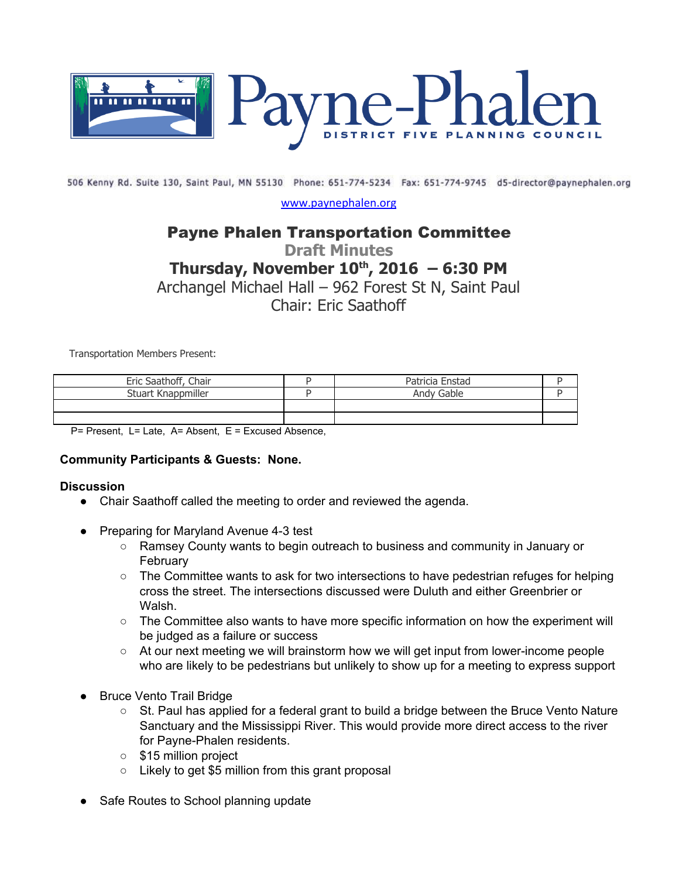

506 Kenny Rd. Suite 130, Saint Paul, MN 55130 Phone: 651-774-5234 Fax: 651-774-9745 d5-director@paynephalen.org

[www.paynephalen.org](http://www.paynephalen.org/)

# Payne Phalen Transportation Committee

**Draft Minutes**

# **Thursday, November 10 th , 2016 – 6:30 PM**

Archangel Michael Hall – 962 Forest St N, Saint Paul

Chair: Eric Saathoff

Transportation Members Present:

| Eric Saathoff, Chair | Patricia Enstad |  |
|----------------------|-----------------|--|
| Stuart Knappmiller   | Andy Gable      |  |
|                      |                 |  |
|                      |                 |  |

P= Present, L= Late, A= Absent, E = Excused Absence,

#### **Community Participants & Guests: None.**

#### **Discussion**

- Chair Saathoff called the meeting to order and reviewed the agenda.
- **Preparing for Maryland Avenue 4-3 test** 
	- Ramsey County wants to begin outreach to business and community in January or February
	- The Committee wants to ask for two intersections to have pedestrian refuges for helping cross the street. The intersections discussed were Duluth and either Greenbrier or Walsh.
	- The Committee also wants to have more specific information on how the experiment will be judged as a failure or success
	- At our next meeting we will brainstorm how we will get input from lower-income people who are likely to be pedestrians but unlikely to show up for a meeting to express support
- **Bruce Vento Trail Bridge** 
	- St. Paul has applied for a federal grant to build a bridge between the Bruce Vento Nature Sanctuary and the Mississippi River. This would provide more direct access to the river for Payne-Phalen residents.
	- \$15 million project
	- Likely to get \$5 million from this grant proposal
- **Safe Routes to School planning update**